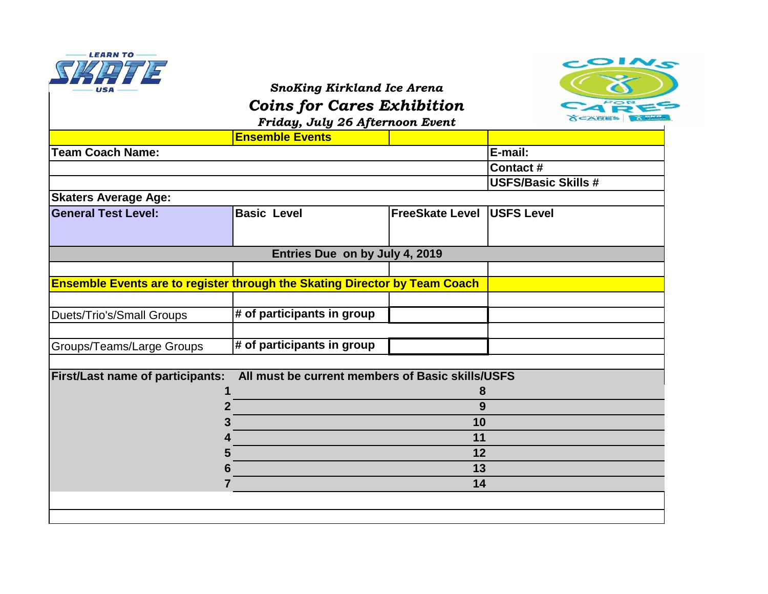

## *SnoKing Kirkland Ice Arena*



*Coins for Cares Exhibition*

**Ensemble Events E-mail: Contact # USFS/Basic Skills # Ensemble Events are to register through the Skating Director by Team Coach** Duets/Trio's/Small Groups **# of participants in group** Groups/Teams/Large Groups **# of participants in group First/Last name of participants: All must be current members of Basic skills/USFS 1 8 2 9 3 10 4 11 5 12 6 13 7 14 Skaters Average Age: General Test Level: Basic Level FreeSkate Level USFS Level Entries Due on by July 4, 2019** *Friday, July 26 Afternoon Event* **Team Coach Name:**